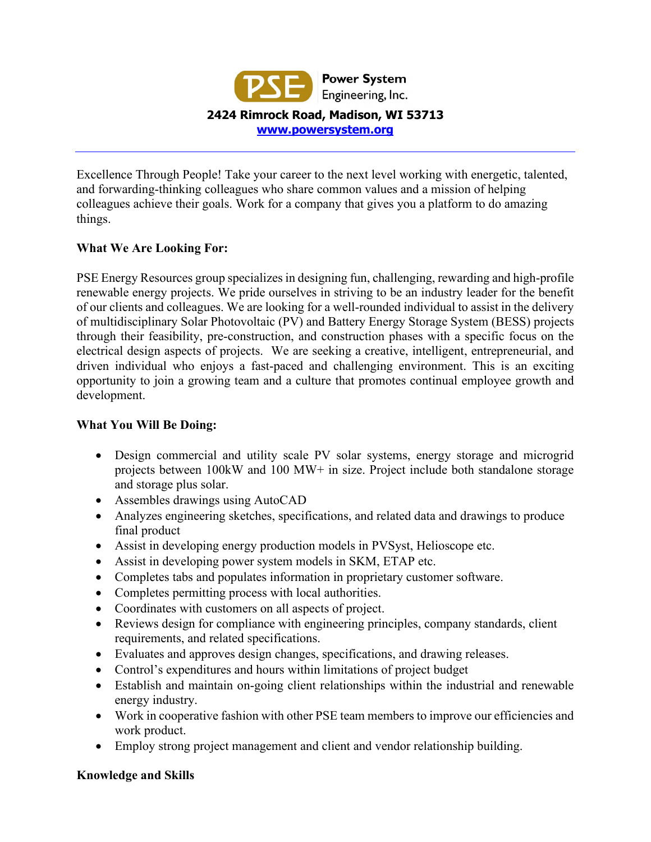

Excellence Through People! Take your career to the next level working with energetic, talented, and forwarding-thinking colleagues who share common values and a mission of helping colleagues achieve their goals. Work for a company that gives you a platform to do amazing things.

## **What We Are Looking For:**

PSE Energy Resources group specializes in designing fun, challenging, rewarding and high-profile renewable energy projects. We pride ourselves in striving to be an industry leader for the benefit of our clients and colleagues. We are looking for a well-rounded individual to assist in the delivery of multidisciplinary Solar Photovoltaic (PV) and Battery Energy Storage System (BESS) projects through their feasibility, pre-construction, and construction phases with a specific focus on the electrical design aspects of projects. We are seeking a creative, intelligent, entrepreneurial, and driven individual who enjoys a fast-paced and challenging environment. This is an exciting opportunity to join a growing team and a culture that promotes continual employee growth and development.

## **What You Will Be Doing:**

- Design commercial and utility scale PV solar systems, energy storage and microgrid projects between 100kW and 100 MW+ in size. Project include both standalone storage and storage plus solar.
- Assembles drawings using AutoCAD
- Analyzes engineering sketches, specifications, and related data and drawings to produce final product
- Assist in developing energy production models in PVSyst, Helioscope etc.
- Assist in developing power system models in SKM, ETAP etc.
- Completes tabs and populates information in proprietary customer software.
- Completes permitting process with local authorities.
- Coordinates with customers on all aspects of project.
- Reviews design for compliance with engineering principles, company standards, client requirements, and related specifications.
- Evaluates and approves design changes, specifications, and drawing releases.
- Control's expenditures and hours within limitations of project budget
- Establish and maintain on-going client relationships within the industrial and renewable energy industry.
- Work in cooperative fashion with other PSE team members to improve our efficiencies and work product.
- Employ strong project management and client and vendor relationship building.

## **Knowledge and Skills**